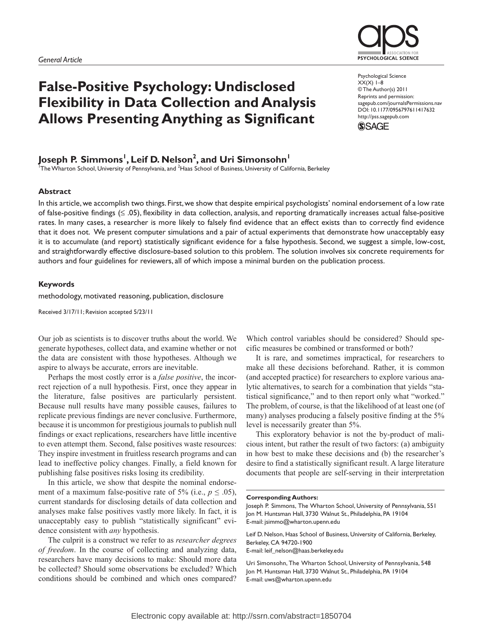

# **False-Positive Psychology: Undisclosed Flexibility in Data Collection and Analysis Allows Presenting Anything as Significant**

# **Joseph P. Simmons<sup>1</sup>, Leif D. Nelson** $^2$ **, and Uri Simonsohn** $^1$

<sup>1</sup>The Wharton School, University of Pennsylvania, and <sup>2</sup>Haas School of Business, University of California, Berkeley

#### **Abstract**

In this article, we accomplish two things. First, we show that despite empirical psychologists' nominal endorsement of a low rate of false-positive findings (≤ .05), flexibility in data collection, analysis, and reporting dramatically increases actual false-positive rates. In many cases, a researcher is more likely to falsely find evidence that an effect exists than to correctly find evidence that it does not. We present computer simulations and a pair of actual experiments that demonstrate how unacceptably easy it is to accumulate (and report) statistically significant evidence for a false hypothesis. Second, we suggest a simple, low-cost, and straightforwardly effective disclosure-based solution to this problem. The solution involves six concrete requirements for authors and four guidelines for reviewers, all of which impose a minimal burden on the publication process.

#### **Keywords**

methodology, motivated reasoning, publication, disclosure

Received 3/17/11; Revision accepted 5/23/11

Our job as scientists is to discover truths about the world. We generate hypotheses, collect data, and examine whether or not the data are consistent with those hypotheses. Although we aspire to always be accurate, errors are inevitable.

Perhaps the most costly error is a *false positive*, the incorrect rejection of a null hypothesis. First, once they appear in the literature, false positives are particularly persistent. Because null results have many possible causes, failures to replicate previous findings are never conclusive. Furthermore, because it is uncommon for prestigious journals to publish null findings or exact replications, researchers have little incentive to even attempt them. Second, false positives waste resources: They inspire investment in fruitless research programs and can lead to ineffective policy changes. Finally, a field known for publishing false positives risks losing its credibility.

In this article, we show that despite the nominal endorsement of a maximum false-positive rate of 5% (i.e.,  $p \leq .05$ ), current standards for disclosing details of data collection and analyses make false positives vastly more likely. In fact, it is unacceptably easy to publish "statistically significant" evidence consistent with *any* hypothesis.

The culprit is a construct we refer to as *researcher degrees of freedom*. In the course of collecting and analyzing data, researchers have many decisions to make: Should more data be collected? Should some observations be excluded? Which conditions should be combined and which ones compared?

Which control variables should be considered? Should specific measures be combined or transformed or both?

It is rare, and sometimes impractical, for researchers to make all these decisions beforehand. Rather, it is common (and accepted practice) for researchers to explore various analytic alternatives, to search for a combination that yields "statistical significance," and to then report only what "worked." The problem, of course, is that the likelihood of at least one (of many) analyses producing a falsely positive finding at the 5% level is necessarily greater than 5%.

This exploratory behavior is not the by-product of malicious intent, but rather the result of two factors: (a) ambiguity in how best to make these decisions and (b) the researcher's desire to find a statistically significant result. A large literature documents that people are self-serving in their interpretation

#### **Corresponding Authors:**

Joseph P. Simmons, The Wharton School, University of Pennsylvania, 551 Jon M. Huntsman Hall, 3730 Walnut St., Philadelphia, PA 19104 E-mail: jsimmo@wharton.upenn.edu

Leif D. Nelson, Haas School of Business, University of California, Berkeley, Berkeley, CA 94720-1900

E-mail: leif\_nelson@haas.berkeley.edu

Uri Simonsohn, The Wharton School, University of Pennsylvania, 548 Jon M. Huntsman Hall, 3730 Walnut St., Philadelphia, PA 19104 E-mail: uws@wharton.upenn.edu

Psychological Science  $XX(X)$  1–8 © The Author(s) 2011 Reprints and permission: sagepub.com/journalsPermissions.nav DOI: 10.1177/0956797611417632 http://pss.sagepub.com

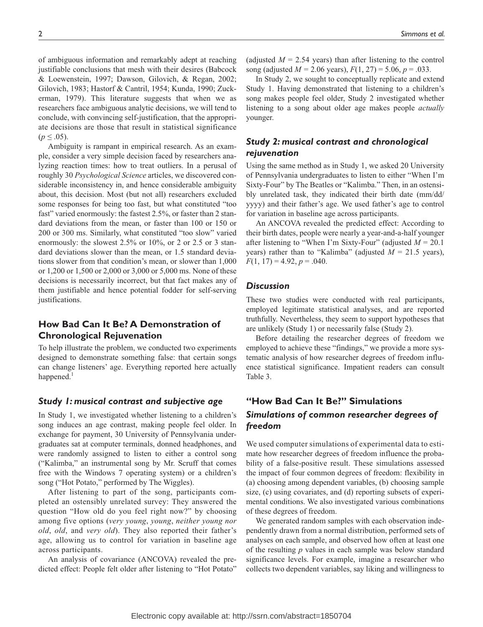of ambiguous information and remarkably adept at reaching justifiable conclusions that mesh with their desires (Babcock & Loewenstein, 1997; Dawson, Gilovich, & Regan, 2002; Gilovich, 1983; Hastorf & Cantril, 1954; Kunda, 1990; Zuckerman, 1979). This literature suggests that when we as researchers face ambiguous analytic decisions, we will tend to conclude, with convincing self-justification, that the appropriate decisions are those that result in statistical significance  $(p \le .05)$ .

Ambiguity is rampant in empirical research. As an example, consider a very simple decision faced by researchers analyzing reaction times: how to treat outliers. In a perusal of roughly 30 *Psychological Science* articles, we discovered considerable inconsistency in, and hence considerable ambiguity about, this decision. Most (but not all) researchers excluded some responses for being too fast, but what constituted "too fast" varied enormously: the fastest 2.5%, or faster than 2 standard deviations from the mean, or faster than 100 or 150 or 200 or 300 ms. Similarly, what constituted "too slow" varied enormously: the slowest 2.5% or 10%, or 2 or 2.5 or 3 standard deviations slower than the mean, or 1.5 standard deviations slower from that condition's mean, or slower than 1,000 or 1,200 or 1,500 or 2,000 or 3,000 or 5,000 ms. None of these decisions is necessarily incorrect, but that fact makes any of them justifiable and hence potential fodder for self-serving justifications.

# **How Bad Can It Be? A Demonstration of Chronological Rejuvenation**

To help illustrate the problem, we conducted two experiments designed to demonstrate something false: that certain songs can change listeners' age. Everything reported here actually happened.<sup>1</sup>

### *Study 1: musical contrast and subjective age*

In Study 1, we investigated whether listening to a children's song induces an age contrast, making people feel older. In exchange for payment, 30 University of Pennsylvania undergraduates sat at computer terminals, donned headphones, and were randomly assigned to listen to either a control song ("Kalimba," an instrumental song by Mr. Scruff that comes free with the Windows 7 operating system) or a children's song ("Hot Potato," performed by The Wiggles).

After listening to part of the song, participants completed an ostensibly unrelated survey: They answered the question "How old do you feel right now?" by choosing among five options (*very young*, *young*, *neither young nor old*, *old*, and *very old*). They also reported their father's age, allowing us to control for variation in baseline age across participants.

An analysis of covariance (ANCOVA) revealed the predicted effect: People felt older after listening to "Hot Potato"

(adjusted  $M = 2.54$  years) than after listening to the control song (adjusted *M =* 2.06 years), *F*(1, 27) = 5.06, *p* = .033.

In Study 2, we sought to conceptually replicate and extend Study 1. Having demonstrated that listening to a children's song makes people feel older, Study 2 investigated whether listening to a song about older age makes people *actually* younger.

## *Study 2: musical contrast and chronological rejuvenation*

Using the same method as in Study 1, we asked 20 University of Pennsylvania undergraduates to listen to either "When I'm Sixty-Four" by The Beatles or "Kalimba." Then, in an ostensibly unrelated task, they indicated their birth date (mm/dd/ yyyy) and their father's age. We used father's age to control for variation in baseline age across participants.

An ANCOVA revealed the predicted effect: According to their birth dates, people were nearly a year-and-a-half younger after listening to "When I'm Sixty-Four" (adjusted *M* = 20.1 years) rather than to "Kalimba" (adjusted  $M = 21.5$  years),  $F(1, 17) = 4.92, p = .040.$ 

## *Discussion*

These two studies were conducted with real participants, employed legitimate statistical analyses, and are reported truthfully. Nevertheless, they seem to support hypotheses that are unlikely (Study 1) or necessarily false (Study 2).

Before detailing the researcher degrees of freedom we employed to achieve these "findings," we provide a more systematic analysis of how researcher degrees of freedom influence statistical significance. Impatient readers can consult Table 3.

# **"How Bad Can It Be?" Simulations** *Simulations of common researcher degrees of freedom*

We used computer simulations of experimental data to estimate how researcher degrees of freedom influence the probability of a false-positive result. These simulations assessed the impact of four common degrees of freedom: flexibility in (a) choosing among dependent variables, (b) choosing sample size, (c) using covariates, and (d) reporting subsets of experimental conditions. We also investigated various combinations of these degrees of freedom.

We generated random samples with each observation independently drawn from a normal distribution, performed sets of analyses on each sample, and observed how often at least one of the resulting *p* values in each sample was below standard significance levels. For example, imagine a researcher who collects two dependent variables, say liking and willingness to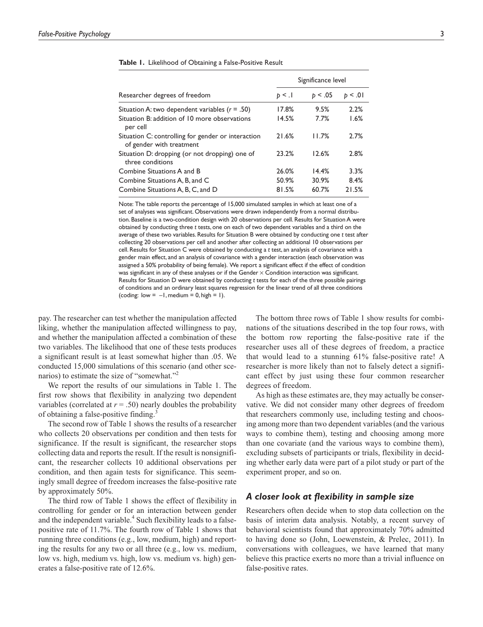| Researcher degrees of freedom                                                  | Significance level |         |              |
|--------------------------------------------------------------------------------|--------------------|---------|--------------|
|                                                                                | p < 1              | p < .05 | $b \leq .01$ |
| Situation A: two dependent variables $(r = .50)$                               | 17.8%              | 9.5%    | 2.2%         |
| Situation B: addition of 10 more observations<br>per cell                      | 14.5%              | 7.7%    | 1.6%         |
| Situation C: controlling for gender or interaction<br>of gender with treatment | 21.6%              | 11.7%   | 2.7%         |
| Situation D: dropping (or not dropping) one of<br>three conditions             | 23.2%              | 12.6%   | 2.8%         |
| Combine Situations A and B                                                     | 26.0%              | 14.4%   | 3.3%         |
| Combine Situations A. B. and C                                                 | 50.9%              | 30.9%   | 8.4%         |
| Combine Situations A. B. C. and D                                              | 81.5%              | 60.7%   | 21.5%        |

**Table 1.** Likelihood of Obtaining a False-Positive Result

Note: The table reports the percentage of 15,000 simulated samples in which at least one of a set of analyses was significant. Observations were drawn independently from a normal distribution. Baseline is a two-condition design with 20 observations per cell. Results for Situation A were obtained by conducting three *t* tests, one on each of two dependent variables and a third on the average of these two variables. Results for Situation B were obtained by conducting one *t* test after collecting 20 observations per cell and another after collecting an additional 10 observations per cell. Results for Situation C were obtained by conducting a *t* test, an analysis of covariance with a gender main effect, and an analysis of covariance with a gender interaction (each observation was assigned a 50% probability of being female). We report a significant effect if the effect of condition was significant in any of these analyses or if the Gender  $\times$  Condition interaction was significant. Results for Situation D were obtained by conducting *t* tests for each of the three possible pairings of conditions and an ordinary least squares regression for the linear trend of all three conditions (coding: low =  $-1$ , medium = 0, high = 1).

pay. The researcher can test whether the manipulation affected liking, whether the manipulation affected willingness to pay, and whether the manipulation affected a combination of these two variables. The likelihood that one of these tests produces a significant result is at least somewhat higher than .05. We conducted 15,000 simulations of this scenario (and other scenarios) to estimate the size of "somewhat."<sup>2</sup>

We report the results of our simulations in Table 1. The first row shows that flexibility in analyzing two dependent variables (correlated at  $r = .50$ ) nearly doubles the probability of obtaining a false-positive finding.<sup>3</sup>

The second row of Table 1 shows the results of a researcher who collects 20 observations per condition and then tests for significance. If the result is significant, the researcher stops collecting data and reports the result. If the result is nonsignificant, the researcher collects 10 additional observations per condition, and then again tests for significance. This seemingly small degree of freedom increases the false-positive rate by approximately 50%.

The third row of Table 1 shows the effect of flexibility in controlling for gender or for an interaction between gender and the independent variable.<sup>4</sup> Such flexibility leads to a falsepositive rate of 11.7%. The fourth row of Table 1 shows that running three conditions (e.g., low, medium, high) and reporting the results for any two or all three (e.g., low vs. medium, low vs. high, medium vs. high, low vs. medium vs. high) generates a false-positive rate of 12.6%.

The bottom three rows of Table 1 show results for combinations of the situations described in the top four rows, with the bottom row reporting the false-positive rate if the researcher uses all of these degrees of freedom, a practice that would lead to a stunning 61% false-positive rate! A researcher is more likely than not to falsely detect a significant effect by just using these four common researcher degrees of freedom.

As high as these estimates are, they may actually be conservative. We did not consider many other degrees of freedom that researchers commonly use, including testing and choosing among more than two dependent variables (and the various ways to combine them), testing and choosing among more than one covariate (and the various ways to combine them), excluding subsets of participants or trials, flexibility in deciding whether early data were part of a pilot study or part of the experiment proper, and so on.

#### *A closer look at flexibility in sample size*

Researchers often decide when to stop data collection on the basis of interim data analysis. Notably, a recent survey of behavioral scientists found that approximately 70% admitted to having done so (John, Loewenstein, & Prelec, 2011). In conversations with colleagues, we have learned that many believe this practice exerts no more than a trivial influence on false-positive rates.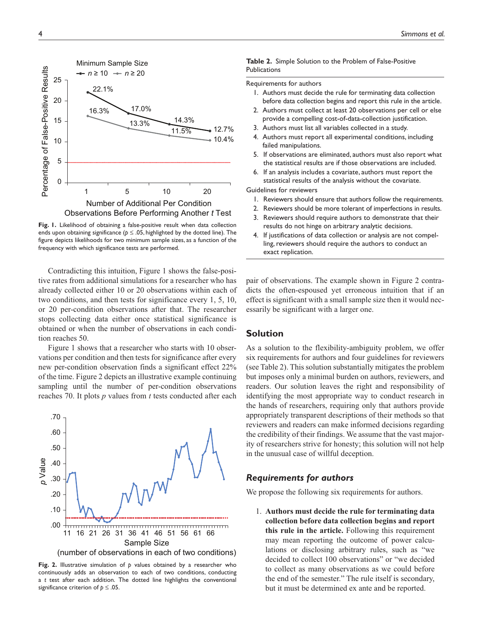

**Fig. 1.** Likelihood of obtaining a false-positive result when data collection ends upon obtaining significance ( $p \leq .05$ , highlighted by the dotted line). The figure depicts likelihoods for two minimum sample sizes, as a function of the frequency with which significance tests are performed.

Contradicting this intuition, Figure 1 shows the false-positive rates from additional simulations for a researcher who has already collected either 10 or 20 observations within each of two conditions, and then tests for significance every 1, 5, 10, or 20 per-condition observations after that. The researcher stops collecting data either once statistical significance is obtained or when the number of observations in each condition reaches 50.

Figure 1 shows that a researcher who starts with 10 observations per condition and then tests for significance after every new per-condition observation finds a significant effect 22% of the time. Figure 2 depicts an illustrative example continuing sampling until the number of per-condition observations reaches 70. It plots *p* values from *t* tests conducted after each



**Fig. 2.** Illustrative simulation of *p* values obtained by a researcher who continuously adds an observation to each of two conditions, conducting a *t* test after each addition. The dotted line highlights the conventional significance criterion of *p* ≤ .05.

#### **Table 2.** Simple Solution to the Problem of False-Positive Publications

Requirements for authors

- 1. Authors must decide the rule for terminating data collection before data collection begins and report this rule in the article.
- 2. Authors must collect at least 20 observations per cell or else provide a compelling cost-of-data-collection justification.
- 3. Authors must list all variables collected in a study.
- Authors must report all experimental conditions, including failed manipulations.
- 5. If observations are eliminated, authors must also report what the statistical results are if those observations are included.
- 6. If an analysis includes a covariate, authors must report the statistical results of the analysis without the covariate.

Guidelines for reviewers

- 1. Reviewers should ensure that authors follow the requirements.
- 2. Reviewers should be more tolerant of imperfections in results.
- 3. Reviewers should require authors to demonstrate that their results do not hinge on arbitrary analytic decisions.
- 4. If justifications of data collection or analysis are not compelling, reviewers should require the authors to conduct an exact replication.

pair of observations. The example shown in Figure 2 contradicts the often-espoused yet erroneous intuition that if an effect is significant with a small sample size then it would necessarily be significant with a larger one.

## **Solution**

As a solution to the flexibility-ambiguity problem, we offer six requirements for authors and four guidelines for reviewers (see Table 2). This solution substantially mitigates the problem but imposes only a minimal burden on authors, reviewers, and readers. Our solution leaves the right and responsibility of identifying the most appropriate way to conduct research in the hands of researchers, requiring only that authors provide appropriately transparent descriptions of their methods so that reviewers and readers can make informed decisions regarding the credibility of their findings. We assume that the vast majority of researchers strive for honesty; this solution will not help in the unusual case of willful deception.

#### *Requirements for authors*

We propose the following six requirements for authors.

1. **Authors must decide the rule for terminating data collection before data collection begins and report this rule in the article.** Following this requirement may mean reporting the outcome of power calculations or disclosing arbitrary rules, such as "we decided to collect 100 observations" or "we decided to collect as many observations as we could before the end of the semester." The rule itself is secondary, but it must be determined ex ante and be reported.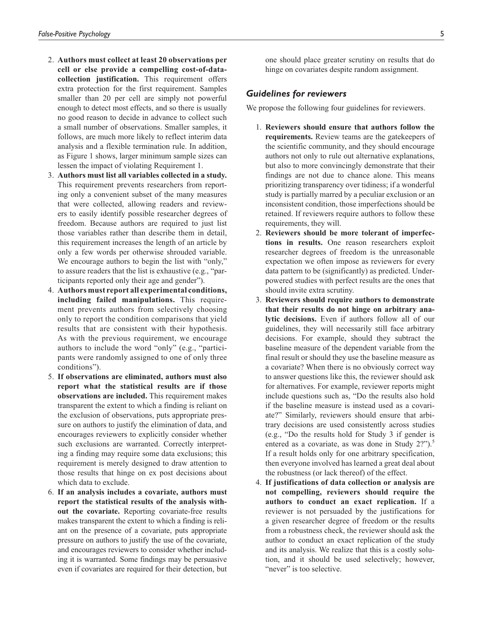- 2. **Authors must collect at least 20 observations per cell or else provide a compelling cost-of-datacollection justification.** This requirement offers extra protection for the first requirement. Samples smaller than 20 per cell are simply not powerful enough to detect most effects, and so there is usually no good reason to decide in advance to collect such a small number of observations. Smaller samples, it follows, are much more likely to reflect interim data analysis and a flexible termination rule. In addition, as Figure 1 shows, larger minimum sample sizes can lessen the impact of violating Requirement 1.
- 3. **Authors must list all variables collected in a study.** This requirement prevents researchers from reporting only a convenient subset of the many measures that were collected, allowing readers and reviewers to easily identify possible researcher degrees of freedom. Because authors are required to just list those variables rather than describe them in detail, this requirement increases the length of an article by only a few words per otherwise shrouded variable. We encourage authors to begin the list with "only," to assure readers that the list is exhaustive (e.g., "participants reported only their age and gender").
- 4. **Authors must report all experimental conditions, including failed manipulations.** This requirement prevents authors from selectively choosing only to report the condition comparisons that yield results that are consistent with their hypothesis. As with the previous requirement, we encourage authors to include the word "only" (e.g., "participants were randomly assigned to one of only three conditions").
- 5. **If observations are eliminated, authors must also report what the statistical results are if those observations are included.** This requirement makes transparent the extent to which a finding is reliant on the exclusion of observations, puts appropriate pressure on authors to justify the elimination of data, and encourages reviewers to explicitly consider whether such exclusions are warranted. Correctly interpreting a finding may require some data exclusions; this requirement is merely designed to draw attention to those results that hinge on ex post decisions about which data to exclude.
- 6. **If an analysis includes a covariate, authors must report the statistical results of the analysis without the covariate.** Reporting covariate-free results makes transparent the extent to which a finding is reliant on the presence of a covariate, puts appropriate pressure on authors to justify the use of the covariate, and encourages reviewers to consider whether including it is warranted. Some findings may be persuasive even if covariates are required for their detection, but

one should place greater scrutiny on results that do hinge on covariates despite random assignment.

#### *Guidelines for reviewers*

We propose the following four guidelines for reviewers.

- 1. **Reviewers should ensure that authors follow the requirements.** Review teams are the gatekeepers of the scientific community, and they should encourage authors not only to rule out alternative explanations, but also to more convincingly demonstrate that their findings are not due to chance alone. This means prioritizing transparency over tidiness; if a wonderful study is partially marred by a peculiar exclusion or an inconsistent condition, those imperfections should be retained. If reviewers require authors to follow these requirements, they will.
- 2. **Reviewers should be more tolerant of imperfections in results.** One reason researchers exploit researcher degrees of freedom is the unreasonable expectation we often impose as reviewers for every data pattern to be (significantly) as predicted. Underpowered studies with perfect results are the ones that should invite extra scrutiny.
- 3. **Reviewers should require authors to demonstrate that their results do not hinge on arbitrary analytic decisions.** Even if authors follow all of our guidelines, they will necessarily still face arbitrary decisions. For example, should they subtract the baseline measure of the dependent variable from the final result or should they use the baseline measure as a covariate? When there is no obviously correct way to answer questions like this, the reviewer should ask for alternatives. For example, reviewer reports might include questions such as, "Do the results also hold if the baseline measure is instead used as a covariate?" Similarly, reviewers should ensure that arbitrary decisions are used consistently across studies (e.g., "Do the results hold for Study 3 if gender is entered as a covariate, as was done in Study  $2$ ?").<sup>5</sup> If a result holds only for one arbitrary specification, then everyone involved has learned a great deal about the robustness (or lack thereof) of the effect.
- 4. **If justifications of data collection or analysis are not compelling, reviewers should require the authors to conduct an exact replication.** If a reviewer is not persuaded by the justifications for a given researcher degree of freedom or the results from a robustness check, the reviewer should ask the author to conduct an exact replication of the study and its analysis. We realize that this is a costly solution, and it should be used selectively; however, "never" is too selective.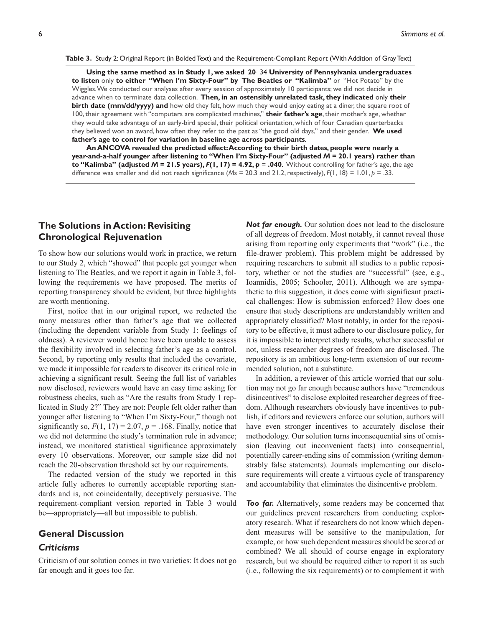#### **Table 3.** Study 2: Original Report (in Bolded Text) and the Requirement-Compliant Report (With Addition of Gray Text)

**Using the same method as in Study 1, we asked 20** 34 **University of Pennsylvania undergraduates to listen** only **to either "When I'm Sixty-Four" by The Beatles or "Kalimba"** or "Hot Potato" by the Wiggles. We conducted our analyses after every session of approximately 10 participants; we did not decide in advance when to terminate data collection. **Then, in an ostensibly unrelated task, they indicated** only **their birth date (mm/dd/yyyy) and** how old they felt, how much they would enjoy eating at a diner, the square root of 100, their agreement with "computers are complicated machines," **their father's age**, their mother's age, whether they would take advantage of an early-bird special, their political orientation, which of four Canadian quarterbacks they believed won an award, how often they refer to the past as "the good old days," and their gender. **We used father's age to control for variation in baseline age across participants**.

**An ANCOVA revealed the predicted effect: According to their birth dates, people were nearly a year-and-a-half younger after listening to "When I'm Sixty-Four" (adjusted** *M* **= 20.1 years) rather than to "Kalimba" (adjusted**  $M = 21.5$  **years),**  $F(1, 17) = 4.92$ **,**  $p = .040$ **. Without controlling for father's age, the age** difference was smaller and did not reach significance (*M*s = 20.3 and 21.2, respectively), *F*(1, 18) = 1.01, *p* = .33.

# **The Solutions in Action: Revisiting Chronological Rejuvenation**

To show how our solutions would work in practice, we return to our Study 2, which "showed" that people get younger when listening to The Beatles, and we report it again in Table 3, following the requirements we have proposed. The merits of reporting transparency should be evident, but three highlights are worth mentioning.

First, notice that in our original report, we redacted the many measures other than father's age that we collected (including the dependent variable from Study 1: feelings of oldness). A reviewer would hence have been unable to assess the flexibility involved in selecting father's age as a control. Second, by reporting only results that included the covariate, we made it impossible for readers to discover its critical role in achieving a significant result. Seeing the full list of variables now disclosed, reviewers would have an easy time asking for robustness checks, such as "Are the results from Study 1 replicated in Study 2?" They are not: People felt older rather than younger after listening to "When I'm Sixty-Four," though not significantly so,  $F(1, 17) = 2.07$ ,  $p = .168$ . Finally, notice that we did not determine the study's termination rule in advance; instead, we monitored statistical significance approximately every 10 observations. Moreover, our sample size did not reach the 20-observation threshold set by our requirements.

The redacted version of the study we reported in this article fully adheres to currently acceptable reporting standards and is, not coincidentally, deceptively persuasive. The requirement-compliant version reported in Table 3 would be—appropriately—all but impossible to publish.

## **General Discussion**

## *Criticisms*

Criticism of our solution comes in two varieties: It does not go far enough and it goes too far.

*Not far enough.* Our solution does not lead to the disclosure of all degrees of freedom. Most notably, it cannot reveal those arising from reporting only experiments that "work" (i.e., the file-drawer problem). This problem might be addressed by requiring researchers to submit all studies to a public repository, whether or not the studies are "successful" (see, e.g., Ioannidis, 2005; Schooler, 2011). Although we are sympathetic to this suggestion, it does come with significant practical challenges: How is submission enforced? How does one ensure that study descriptions are understandably written and appropriately classified? Most notably, in order for the repository to be effective, it must adhere to our disclosure policy, for it is impossible to interpret study results, whether successful or not, unless researcher degrees of freedom are disclosed. The repository is an ambitious long-term extension of our recommended solution, not a substitute.

In addition, a reviewer of this article worried that our solution may not go far enough because authors have "tremendous disincentives" to disclose exploited researcher degrees of freedom. Although researchers obviously have incentives to publish, if editors and reviewers enforce our solution, authors will have even stronger incentives to accurately disclose their methodology. Our solution turns inconsequential sins of omission (leaving out inconvenient facts) into consequential, potentially career-ending sins of commission (writing demonstrably false statements). Journals implementing our disclosure requirements will create a virtuous cycle of transparency and accountability that eliminates the disincentive problem.

*Too far.* Alternatively, some readers may be concerned that our guidelines prevent researchers from conducting exploratory research. What if researchers do not know which dependent measures will be sensitive to the manipulation, for example, or how such dependent measures should be scored or combined? We all should of course engage in exploratory research, but we should be required either to report it as such (i.e., following the six requirements) or to complement it with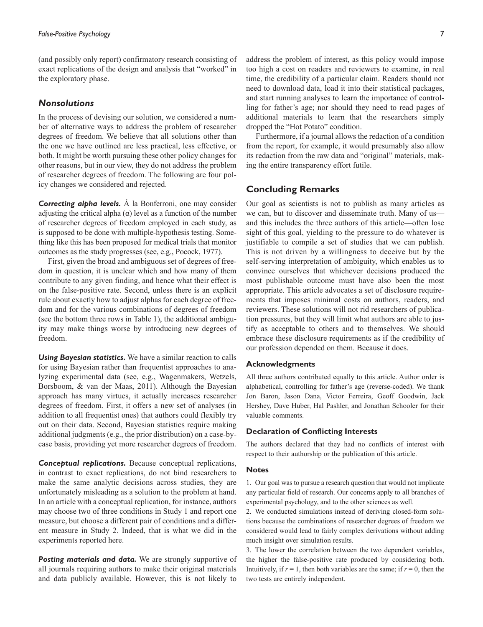(and possibly only report) confirmatory research consisting of exact replications of the design and analysis that "worked" in the exploratory phase.

#### *Nonsolutions*

In the process of devising our solution, we considered a number of alternative ways to address the problem of researcher degrees of freedom. We believe that all solutions other than the one we have outlined are less practical, less effective, or both. It might be worth pursuing these other policy changes for other reasons, but in our view, they do not address the problem of researcher degrees of freedom. The following are four policy changes we considered and rejected.

*Correcting alpha levels.* Á la Bonferroni, one may consider adjusting the critical alpha  $(\alpha)$  level as a function of the number of researcher degrees of freedom employed in each study, as is supposed to be done with multiple-hypothesis testing. Something like this has been proposed for medical trials that monitor outcomes as the study progresses (see, e.g., Pocock, 1977).

First, given the broad and ambiguous set of degrees of freedom in question, it is unclear which and how many of them contribute to any given finding, and hence what their effect is on the false-positive rate. Second, unless there is an explicit rule about exactly how to adjust alphas for each degree of freedom and for the various combinations of degrees of freedom (see the bottom three rows in Table 1), the additional ambiguity may make things worse by introducing new degrees of freedom.

*Using Bayesian statistics.* We have a similar reaction to calls for using Bayesian rather than frequentist approaches to analyzing experimental data (see, e.g., Wagenmakers, Wetzels, Borsboom, & van der Maas, 2011). Although the Bayesian approach has many virtues, it actually increases researcher degrees of freedom. First, it offers a new set of analyses (in addition to all frequentist ones) that authors could flexibly try out on their data. Second, Bayesian statistics require making additional judgments (e.g., the prior distribution) on a case-bycase basis, providing yet more researcher degrees of freedom.

*Conceptual replications.* Because conceptual replications, in contrast to exact replications, do not bind researchers to make the same analytic decisions across studies, they are unfortunately misleading as a solution to the problem at hand. In an article with a conceptual replication, for instance, authors may choose two of three conditions in Study 1 and report one measure, but choose a different pair of conditions and a different measure in Study 2. Indeed, that is what we did in the experiments reported here.

**Posting materials and data.** We are strongly supportive of all journals requiring authors to make their original materials and data publicly available. However, this is not likely to

address the problem of interest, as this policy would impose too high a cost on readers and reviewers to examine, in real time, the credibility of a particular claim. Readers should not need to download data, load it into their statistical packages, and start running analyses to learn the importance of controlling for father's age; nor should they need to read pages of additional materials to learn that the researchers simply dropped the "Hot Potato" condition.

Furthermore, if a journal allows the redaction of a condition from the report, for example, it would presumably also allow its redaction from the raw data and "original" materials, making the entire transparency effort futile.

#### **Concluding Remarks**

Our goal as scientists is not to publish as many articles as we can, but to discover and disseminate truth. Many of us and this includes the three authors of this article—often lose sight of this goal, yielding to the pressure to do whatever is justifiable to compile a set of studies that we can publish. This is not driven by a willingness to deceive but by the self-serving interpretation of ambiguity, which enables us to convince ourselves that whichever decisions produced the most publishable outcome must have also been the most appropriate. This article advocates a set of disclosure requirements that imposes minimal costs on authors, readers, and reviewers. These solutions will not rid researchers of publication pressures, but they will limit what authors are able to justify as acceptable to others and to themselves. We should embrace these disclosure requirements as if the credibility of our profession depended on them. Because it does.

#### **Acknowledgments**

All three authors contributed equally to this article. Author order is alphabetical, controlling for father's age (reverse-coded). We thank Jon Baron, Jason Dana, Victor Ferreira, Geoff Goodwin, Jack Hershey, Dave Huber, Hal Pashler, and Jonathan Schooler for their valuable comments.

#### **Declaration of Conflicting Interests**

The authors declared that they had no conflicts of interest with respect to their authorship or the publication of this article.

#### **Notes**

1. Our goal was to pursue a research question that would not implicate any particular field of research. Our concerns apply to all branches of experimental psychology, and to the other sciences as well.

2. We conducted simulations instead of deriving closed-form solutions because the combinations of researcher degrees of freedom we considered would lead to fairly complex derivations without adding much insight over simulation results.

3. The lower the correlation between the two dependent variables, the higher the false-positive rate produced by considering both. Intuitively, if  $r = 1$ , then both variables are the same; if  $r = 0$ , then the two tests are entirely independent.